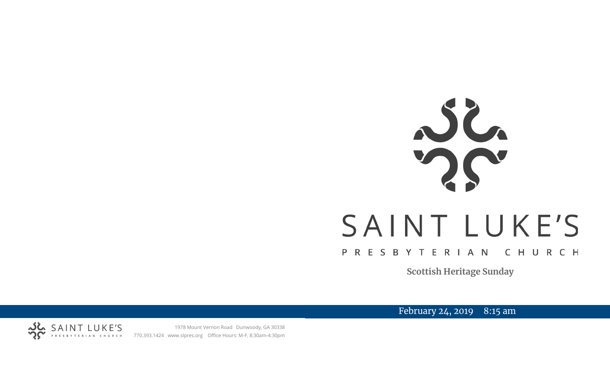# SAINT LUKE'S PRESBYTERIAN CHURCH

**Scottish Heritage Sunday**

February 24, 2019 8:15 am



1978 Mount Vernon Road Dunwoody, GA 30338 SAINT LUKE'S 1978 Mount Vernon Road Dunwoody, GA 30338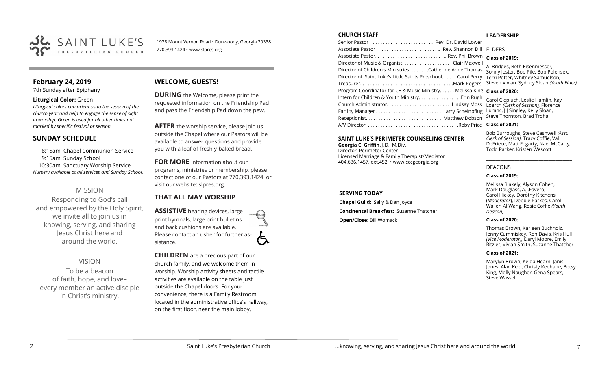

1978 Mount Vernon Road • Dunwoody, Georgia 30338 770.393.1424 • www.slpres.org

# **February 24, 2019**

7th Sunday after Epiphany

#### **Liturgical Color:** Green

*Liturgical colors can orient us to the season of the church year and help to engage the sense of sight in worship. Green is used for all other times not marked by specific festival or season.*

#### **SUNDAY SCHEDULE**

8:15am Chapel Communion Service 9:15am Sunday School 10:30am Sanctuary Worship Service *Nursery available at all services and Sunday School.* 

# MISSION

Responding to God's call and empowered by the Holy Spirit, we invite all to join us in knowing, serving, and sharing Jesus Christ here and around the world.

VISION To be a beacon of faith, hope, and love– every member an active disciple

in Christ's ministry.

# **WELCOME, GUESTS!**

**DURING** the Welcome, please print the requested information on the Friendship Pad and pass the Friendship Pad down the pew.

**AFTER** the worship service, please join us outside the Chapel where our Pastors will be available to answer questions and provide you with a loaf of freshly-baked bread.

**FOR MORE** information about our programs, ministries or membership, please contact one of our Pastors at 770.393.1424, or visit our website: slpres.org.

#### **THAT ALL MAY WORSHIP**

**ASSISTIVE** hearing devices, large print hymnals, large print bulletins and back cushions are available. Please contact an usher for further assistance.

**CHILDREN** are a precious part of our church family, and we welcome them in worship. Worship activity sheets and tactile activities are available on the table just outside the Chapel doors. For your convenience, there is a Family Restroom located in the administrative office's hallway, on the first floor, near the main lobby.

#### **CHURCH STAFF**

| Associate Pastor  Rev. Shannon Dill                                      | <b>FLDERS</b>                                                       |
|--------------------------------------------------------------------------|---------------------------------------------------------------------|
|                                                                          | <b>Class of 2019:</b>                                               |
|                                                                          |                                                                     |
| Director of Children's Ministries. Catherine Anne Thomas                 | Al Bridges, Beth Eisenmesser,<br>Sonny Jester, Bob Pile, Bob Polens |
| Director of Saint Luke's Little Saints Preschool. Carol Perry            | Terri Potter, Whitney Samuelson,                                    |
|                                                                          | Steven Vivian, Sydney Sloan (Youth                                  |
| Program Coordinator for CE & Music Ministry. Melissa King Class of 2020: |                                                                     |
| Intern for Children & Youth Ministry Erin Rugh                           | Carol Ciepluch, Leslie Hamlin, Kay                                  |
| Church AdministratorLindsay Moss                                         | Loerch (Clerk of Session), Florence                                 |
|                                                                          | Luranc, JJ Singley, Kelly Sloan,                                    |
|                                                                          | Steve Thornton, Brad Troha                                          |
|                                                                          |                                                                     |
|                                                                          |                                                                     |

#### **SAINT LUKE'S PERIMETER COUNSELING CENTER**

**Georgia C. Griffin,** J.D., M.Div. Director, Perimeter Center Licensed Marriage & Family Therapist/Mediator 404.636.1457, ext.452 • www.cccgeorgia.org

#### **SERVING TODAY**

**Chapel Guild:** Sally & Dan Joyce **Continental Breakfast:** Suzanne Thatcher **Open/Close:** Bill Womack

#### **LEADERSHIP**

#### **Class of 2019:**

ges, Beth Eisenmesser, Jester, Bob Pile, Bob Polensek, otter, Whitney Samuelson, Steven Vivian*,* Sydney Sloan *(Youth Elder)*

#### **Class of 2020:**

#### **Class of 2021:**

Bob Burroughs, Steve Cashwell *(Asst. Clerk of Session),* Tracy Coffie, Val DeFriece, Matt Fogarty, Nael McCarty, Todd Parker, Kristen Wescott

\_\_\_\_\_\_\_\_\_\_\_\_\_\_\_\_\_\_\_\_\_\_\_\_\_\_\_\_\_\_\_\_\_\_\_\_

#### DEACONS

#### **Class of 2019:**

Melissa Blakely, Alyson Cohen, Mark Douglass, A.J.Favero, Carol Hickey, Dorothy Kitchens (*Moderator*), Debbie Parkes, Carol Waller, Al Wang, Rosie Coffie *(Youth Deacon)* 

#### **Class of 2020:**

Thomas Brown, Karleen Buchholz, Jenny Cummiskey, Ron Davis, Kris Hull *(Vice Moderator),* Daryl Moore, Emily Ritzler, Vivian Smith, Suzanne Thatcher

#### **Class of 2021:**

Marylyn Brown, Kelda Hearn, Janis Jones, Alan Keel, Christy Keohane, Betsy King, Molly Naugher, Gena Spears, Steve Wassell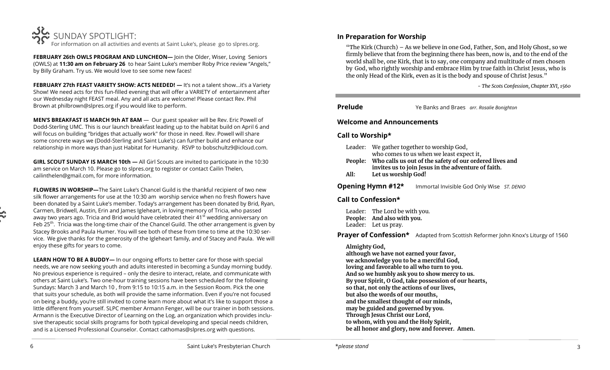

**FEBRUARY 26th OWLS PROGRAM AND LUNCHEON—** Join the Older, Wiser, Loving Seniors (OWLS) at **11:30 am on February 26** to hear Saint Luke's member Roby Price review "Angels," by Billy Graham. Try us. We would love to see some new faces!

**FEBRUARY 27th FEAST VARIETY SHOW: ACTS NEEDED! —** It's not a talent show…it's a Variety Show! We need acts for this fun-filled evening that will offer a VARIETY of entertainment after our Wednesday night FEAST meal. Any and all acts are welcome! Please contact Rev. Phil Brown at [philbrown@slpres.org](mailto:philbrown@slpres.org) if you would like to perform.

**MEN'S BREAKFAST IS MARCH 9th AT 8AM** — Our guest speaker will be Rev. Eric Powell of Dodd-Sterling UMC. This is our launch breakfast leading up to the habitat build on April 6 and will focus on building "bridges that actually work" for those in need. Rev. Powell will share some concrete ways we (Dodd-Sterling and Saint Luke's) can further build and enhance our relationship in more ways than just Habitat for Humanity. RSVP to bobschultz9@icloud.com.

**GIRL SCOUT SUNDAY IS MARCH 10th —** All Girl Scouts are invited to participate in the 10:30 am service on March 10. Please go to slpres.org to register or contact Cailin Thelen, cailinthelen@gmail.com, for more information.

**FLOWERS IN WORSHIP—**The Saint Luke's Chancel Guild is the thankful recipient of two new silk flower arrangements for use at the 10:30 am worship service when no fresh flowers have been donated by a Saint Luke's member. Today's arrangement has been donated by Brid, Ryan, Carmen, Bridwell, Austin, Erin and James Igleheart, in loving memory of Tricia, who passed away two years ago. Tricia and Brid would have celebrated their  $41<sup>st</sup>$  wedding anniversary on Feb 25<sup>th</sup>. Tricia was the long-time chair of the Chancel Guild. The other arrangement is given by Stacey Brooks and Paula Humer. You will see both of these from time to time at the 10:30 service. We give thanks for the generosity of the Igleheart family, and of Stacey and Paula. We will enjoy these gifts for years to come.

**LEARN HOW TO BE A BUDDY—** In our ongoing efforts to better care for those with special needs, we are now seeking youth and adults interested in becoming a Sunday morning buddy. No previous experience is required – only the desire to interact, relate, and communicate with others at Saint Luke's. Two one-hour training sessions have been scheduled for the following Sundays: March 3 and March 10 , from 9:15 to 10:15 a.m. in the Session Room. Pick the one that suits your schedule, as both will provide the same information. Even if you're not focused on being a buddy, you're still invited to come learn more about what it's like to support those a little different from yourself. SLPC member Armann Fenger, will be our trainer in both sessions. Armann is the Executive Director of Learning on the Log, an organization which provides inclusive therapeutic social skills programs for both typical developing and special needs children, and is a Licensed Professional Counselor. Contact [cathomas@slpres.org](mailto:cathomas@slpres.org) with questions.

# **In Preparation for Worship**

"The Kirk (Church) – As we believe in one God, Father, Son, and Holy Ghost, so we firmly believe that from the beginning there has been, now is, and to the end of the world shall be, one Kirk, that is to say, one company and multitude of men chosen by God, who rightly worship and embrace Him by true faith in Christ Jesus, who is the only Head of the Kirk, even as it is the body and spouse of Christ Jesus."

*- The Scots Confession, Chapter XVI, 1560*

**Prelude** Ye Banks and Braes *arr. Rosalie Bonighton*

# **Welcome and Announcements**

# **Call to Worship\***

- Leader: We gather together to worship God, who comes to us when we least expect it,
- **People: Who calls us out of the safety of our ordered lives and invites us to join Jesus in the adventure of faith.**
- **All: Let us worship God!**

**Opening Hymn #12\*** Immortal Invisible God Only Wise *ST. DENIO*

# **Call to Confession\***

Leader: The Lord be with you. **People: And also with you.**  Leader: Let us pray.

**Prayer of Confession\*** Adapted from Scottish Reformer John Knox's Liturgy of 1560

# **Almighty God,**

**although we have not earned your favor, we acknowledge you to be a merciful God, loving and favorable to all who turn to you. And so we humbly ask you to show mercy to us. By your Spirit, O God, take possession of our hearts, so that, not only the actions of our lives, but also the words of our mouths, and the smallest thought of our minds, may be guided and governed by you. Through Jesus Christ our Lord, to whom, with you and the Holy Spirit, be all honor and glory, now and forever. Amen.**